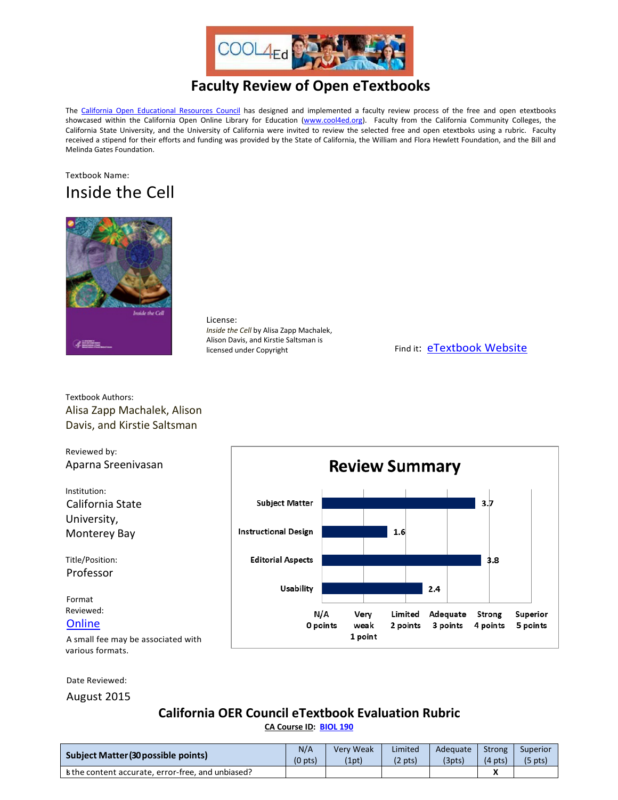

# **Faculty Review of Open eTextbooks**

The [California Open Educational Resources Council](http://icas-ca.org/coerc) has designed and implemented a faculty review process of the free and open etextbooks showcased within the California Open Online Library for Education [\(www.cool4ed.org\)](http://www.cool4ed.org/). Faculty from the California Community Colleges, the California State University, and the University of California were invited to review the selected free and open etextboks using a rubric. Faculty received a stipend for their efforts and funding was provided by the State of California, the William and Flora Hewlett Foundation, and the Bill and Melinda Gates Foundation.

## Textbook Name: Inside the Cell



License: *Inside the Cell* by Alisa Zapp Machalek, Alison Davis, and Kirstie Saltsman is<br>licensed under Copyright

Find it: [eTextbook Website](http://publications.nigms.nih.gov/insidethecell/)

Textbook Authors: Alisa Zapp Machalek, Alison Davis, and Kirstie Saltsman

Reviewed by: Aparna Sreenivasan

Institution: California State University, Monterey Bay

Title/Position: Professor

Format Reviewed:

### **[Online](http://publications.nigms.nih.gov/insidethecell/)**

A small fee may be associated with various formats.

Date Reviewed:

August 2015

### **California OER Council eTextbook Evaluation Rubric**

**[CA Course ID:](https://c-id.net/about.html) [BIOL 190](https://c-id.net/descriptor_details.html?descriptor=5)**

| <b>Subject Matter (30 possible points)</b>        | N/A                 | <b>Very Weak</b> | Limited           | Adequate | Strong            | Superior          |
|---------------------------------------------------|---------------------|------------------|-------------------|----------|-------------------|-------------------|
|                                                   | (0 <sub>pts</sub> ) | (1pt)            | $(2 \text{ pts})$ | (3pts)   | $(4 \text{ pts})$ | $(5 \text{ pts})$ |
| s the content accurate, error-free, and unbiased? |                     |                  |                   |          |                   |                   |

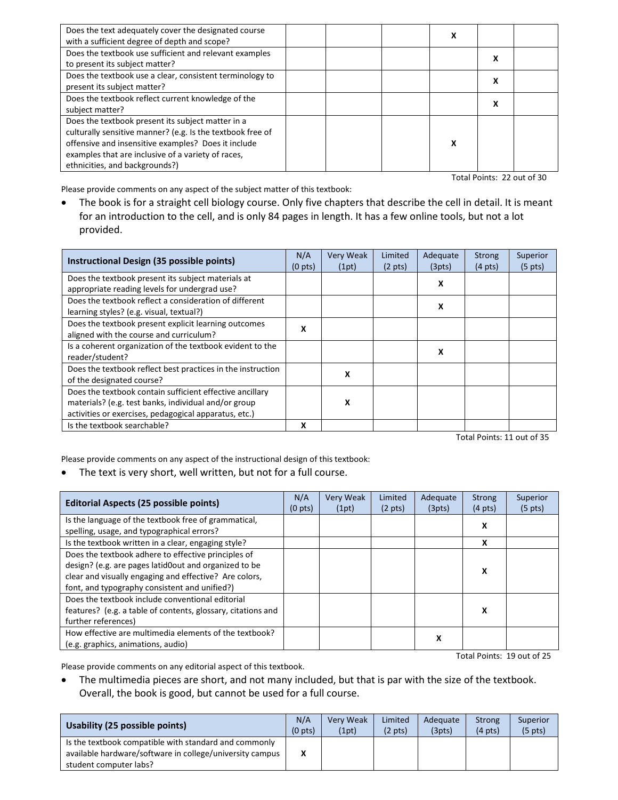| Does the text adequately cover the designated course<br>with a sufficient degree of depth and scope?                                                                                                                                                           |  | х |   |  |
|----------------------------------------------------------------------------------------------------------------------------------------------------------------------------------------------------------------------------------------------------------------|--|---|---|--|
| Does the textbook use sufficient and relevant examples<br>to present its subject matter?                                                                                                                                                                       |  |   | X |  |
| Does the textbook use a clear, consistent terminology to<br>present its subject matter?                                                                                                                                                                        |  |   | х |  |
| Does the textbook reflect current knowledge of the<br>subject matter?                                                                                                                                                                                          |  |   | X |  |
| Does the textbook present its subject matter in a<br>culturally sensitive manner? (e.g. Is the textbook free of<br>offensive and insensitive examples? Does it include<br>examples that are inclusive of a variety of races,<br>ethnicities, and backgrounds?) |  | x |   |  |

Total Points: 22 out of 30

Please provide comments on any aspect of the subject matter of this textbook:

• The book is for a straight cell biology course. Only five chapters that describe the cell in detail. It is meant for an introduction to the cell, and is only 84 pages in length. It has a few online tools, but not a lot provided.

| Instructional Design (35 possible points)                   | N/A<br>(0 <sub>pts</sub> ) | <b>Very Weak</b><br>(1pt) | Limited<br>$(2 \text{ pts})$ | Adequate<br>(3pts) | Strong<br>$(4 \text{ pts})$ | Superior<br>$(5 \text{ pts})$ |
|-------------------------------------------------------------|----------------------------|---------------------------|------------------------------|--------------------|-----------------------------|-------------------------------|
| Does the textbook present its subject materials at          |                            |                           |                              | x                  |                             |                               |
| appropriate reading levels for undergrad use?               |                            |                           |                              |                    |                             |                               |
| Does the textbook reflect a consideration of different      |                            |                           |                              | x                  |                             |                               |
| learning styles? (e.g. visual, textual?)                    |                            |                           |                              |                    |                             |                               |
| Does the textbook present explicit learning outcomes        | x                          |                           |                              |                    |                             |                               |
| aligned with the course and curriculum?                     |                            |                           |                              |                    |                             |                               |
| Is a coherent organization of the textbook evident to the   |                            |                           |                              | x                  |                             |                               |
| reader/student?                                             |                            |                           |                              |                    |                             |                               |
| Does the textbook reflect best practices in the instruction |                            | x                         |                              |                    |                             |                               |
| of the designated course?                                   |                            |                           |                              |                    |                             |                               |
| Does the textbook contain sufficient effective ancillary    |                            |                           |                              |                    |                             |                               |
| materials? (e.g. test banks, individual and/or group        |                            | x                         |                              |                    |                             |                               |
| activities or exercises, pedagogical apparatus, etc.)       |                            |                           |                              |                    |                             |                               |
| Is the textbook searchable?                                 | x                          |                           |                              |                    |                             |                               |

Total Points: 11 out of 35

Please provide comments on any aspect of the instructional design of this textbook:

• The text is very short, well written, but not for a full course.

| Editorial Aspects (25 possible points)                                                                                                                                                                                                                                      | N/A<br>(0 <sub>pts</sub> ) | Very Weak<br>(1pt) | Limited<br>$(2 \text{ pts})$ | Adequate<br>(3pts) | <b>Strong</b><br>$(4 \text{ pts})$ | Superior<br>$(5 \text{ pts})$ |
|-----------------------------------------------------------------------------------------------------------------------------------------------------------------------------------------------------------------------------------------------------------------------------|----------------------------|--------------------|------------------------------|--------------------|------------------------------------|-------------------------------|
| Is the language of the textbook free of grammatical,<br>spelling, usage, and typographical errors?                                                                                                                                                                          |                            |                    |                              |                    | x                                  |                               |
| Is the textbook written in a clear, engaging style?                                                                                                                                                                                                                         |                            |                    |                              |                    | x                                  |                               |
| Does the textbook adhere to effective principles of<br>design? (e.g. are pages latid0out and organized to be<br>clear and visually engaging and effective? Are colors,<br>font, and typography consistent and unified?)<br>Does the textbook include conventional editorial |                            |                    |                              |                    | x                                  |                               |
| features? (e.g. a table of contents, glossary, citations and<br>further references)                                                                                                                                                                                         |                            |                    |                              |                    | x                                  |                               |
| How effective are multimedia elements of the textbook?<br>(e.g. graphics, animations, audio)                                                                                                                                                                                |                            |                    |                              | x                  |                                    | Total Points: 19 out of 25    |

Please provide comments on any editorial aspect of this textbook.

• The multimedia pieces are short, and not many included, but that is par with the size of the textbook. Overall, the book is good, but cannot be used for a full course.

| Usability (25 possible points)                                                                                                              | N/A       | <b>Very Weak</b> | <b>Limited</b>    | Adequate | Strong            | Superior          |
|---------------------------------------------------------------------------------------------------------------------------------------------|-----------|------------------|-------------------|----------|-------------------|-------------------|
|                                                                                                                                             | $(0$ pts) | (1pt)            | $(2 \text{ pts})$ | (3pts)   | $(4 \text{ pts})$ | $(5 \text{ pts})$ |
| Is the textbook compatible with standard and commonly<br>available hardware/software in college/university campus<br>student computer labs? | X         |                  |                   |          |                   |                   |